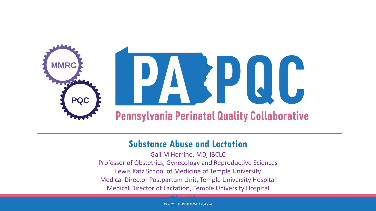

#### **Substance Abuse and Lactation**

Gail M Herrine, MD, IBCLC Professor of Obstetrics, Gynecology and Reproductive Sciences Lewis Katz School of Medicine of Temple University Medical Director Postpartum Unit, Temple University Hospital Medical Director of Lactation, Temple University Hospital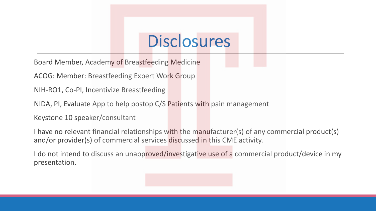### **Disclosures**

Board Member, Academy of Breastfeeding Medicine

ACOG: Member: Breastfeeding Expert Work Group

NIH-RO1, Co-PI, Incentivize Breastfeeding

NIDA, PI, Evaluate App to help postop C/S Patients with pain management

Keystone 10 speaker/consultant

I have no relevant financial relationships with the manufacturer(s) of any commercial product(s) and/or provider(s) of commercial services discussed in this CME activity.

I do not intend to discuss an unapproved/investigative use of a commercial product/device in my presentation.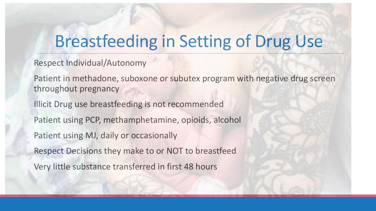## Breastfeeding in Setting of Drug Use

Respect Individual/Autonomy

Patient in methadone, suboxone or subutex program with negative drug screen throughout pregnancy

Illicit Drug use breastfeeding is not recommended Patient using PCP, methamphetamine, opioids, alcohol Patient using MJ, daily or occasionally Respect Decisions they make to or NOT to breastfeed Very little substance transferred in first 48 hours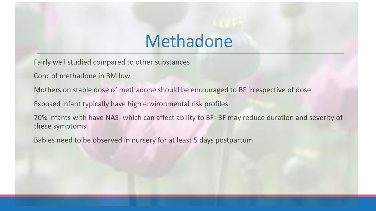### Methadone

Fairly well studied compared to other substances

Conc of methadone in BM low

Mothers on stable dose of methadone should be encouraged to BF irrespective of dose

Exposed infant typically have high environmental risk profiles

70% infants with have NAS- which can affect ability to BF- BF may reduce duration and severity of these symptoms

Babies need to be observed in nursery for at least 5 days postpartum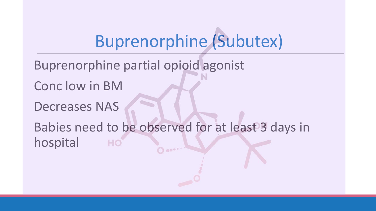# Buprenorphine (Subutex)

- Buprenorphine partial opioid agonist
- Conc low in BM
- Decreases NAS
- Babies need to be observed for at least 3 days in hospitalHO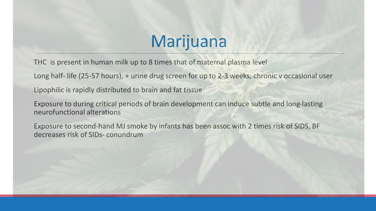# Marijuana

THC is present in human milk up to 8 times that of maternal plasma level

Long half- life (25-57 hours), + urine drug screen for up to 2-3 weeks, chronic v occasional user

Lipophilic is rapidly distributed to brain and fat tissue

Exposure to during critical periods of brain development can induce subtle and long-lasting neurofunctional alterations

Exposure to second-hand MJ smoke by infants has been assoc with 2 times risk of SIDS, BF decreases risk of SIDs- conundrum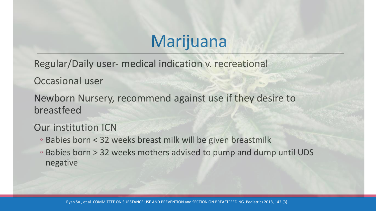# Marijuana

Regular/Daily user- medical indication v. recreational

Occasional user

Newborn Nursery, recommend against use if they desire to breastfeed

Our institution ICN

- Babies born < 32 weeks breast milk will be given breastmilk
- Babies born > 32 weeks mothers advised to pump and dump until UDS negative